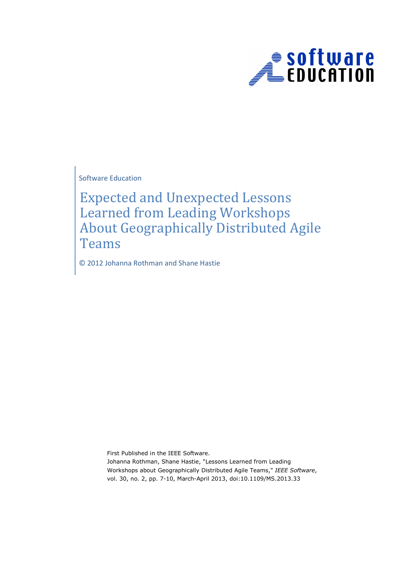

Software Education

Expected and Unexpected Lessons Learned from Leading Workshops About Geographically Distributed Agile Teams

© 2012 Johanna Rothman and Shane Hastie

First Published in the IEEE Software. Johanna Rothman, Shane Hastie, "Lessons Learned from Leading Workshops about Geographically Distributed Agile Teams," IEEE Software, vol. 30, no. 2, pp. 7-10, March-April 2013, doi:10.1109/MS.2013.33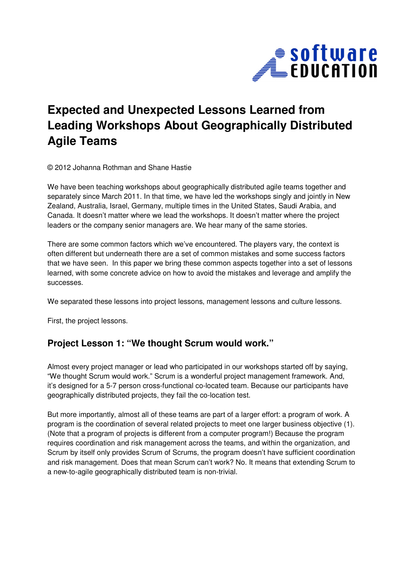

# **Expected and Unexpected Lessons Learned from Leading Workshops About Geographically Distributed Agile Teams**

© 2012 Johanna Rothman and Shane Hastie

We have been teaching workshops about geographically distributed agile teams together and separately since March 2011. In that time, we have led the workshops singly and jointly in New Zealand, Australia, Israel, Germany, multiple times in the United States, Saudi Arabia, and Canada. It doesn't matter where we lead the workshops. It doesn't matter where the project leaders or the company senior managers are. We hear many of the same stories.

There are some common factors which we've encountered. The players vary, the context is often different but underneath there are a set of common mistakes and some success factors that we have seen. In this paper we bring these common aspects together into a set of lessons learned, with some concrete advice on how to avoid the mistakes and leverage and amplify the successes.

We separated these lessons into project lessons, management lessons and culture lessons.

First, the project lessons.

#### **Project Lesson 1: "We thought Scrum would work."**

Almost every project manager or lead who participated in our workshops started off by saying, "We thought Scrum would work." Scrum is a wonderful project management framework. And, it's designed for a 5-7 person cross-functional co-located team. Because our participants have geographically distributed projects, they fail the co-location test.

But more importantly, almost all of these teams are part of a larger effort: a program of work. A program is the coordination of several related projects to meet one larger business objective (1). (Note that a program of projects is different from a computer program!) Because the program requires coordination and risk management across the teams, and within the organization, and Scrum by itself only provides Scrum of Scrums, the program doesn't have sufficient coordination and risk management. Does that mean Scrum can't work? No. It means that extending Scrum to a new-to-agile geographically distributed team is non-trivial.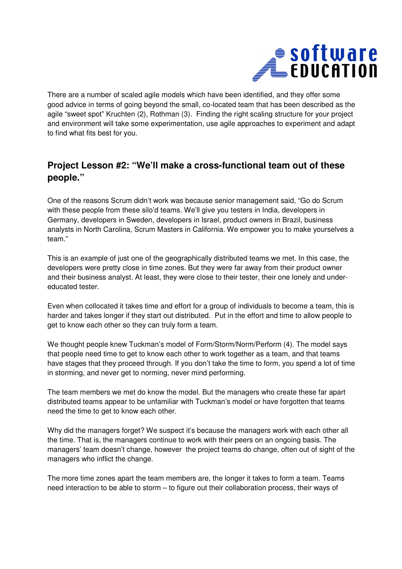

There are a number of scaled agile models which have been identified, and they offer some good advice in terms of going beyond the small, co-located team that has been described as the agile "sweet spot" Kruchten (2), Rothman (3). Finding the right scaling structure for your project and environment will take some experimentation, use agile approaches to experiment and adapt to find what fits best for you.

### **Project Lesson #2: "We'll make a cross-functional team out of these people."**

One of the reasons Scrum didn't work was because senior management said, "Go do Scrum with these people from these silo'd teams. We'll give you testers in India, developers in Germany, developers in Sweden, developers in Israel, product owners in Brazil, business analysts in North Carolina, Scrum Masters in California. We empower you to make yourselves a team."

This is an example of just one of the geographically distributed teams we met. In this case, the developers were pretty close in time zones. But they were far away from their product owner and their business analyst. At least, they were close to their tester, their one lonely and undereducated tester.

Even when collocated it takes time and effort for a group of individuals to become a team, this is harder and takes longer if they start out distributed. Put in the effort and time to allow people to get to know each other so they can truly form a team.

We thought people knew Tuckman's model of Form/Storm/Norm/Perform (4). The model says that people need time to get to know each other to work together as a team, and that teams have stages that they proceed through. If you don't take the time to form, you spend a lot of time in storming, and never get to norming, never mind performing.

The team members we met do know the model. But the managers who create these far apart distributed teams appear to be unfamiliar with Tuckman's model or have forgotten that teams need the time to get to know each other.

Why did the managers forget? We suspect it's because the managers work with each other all the time. That is, the managers continue to work with their peers on an ongoing basis. The managers' team doesn't change, however the project teams do change, often out of sight of the managers who inflict the change.

The more time zones apart the team members are, the longer it takes to form a team. Teams need interaction to be able to storm – to figure out their collaboration process, their ways of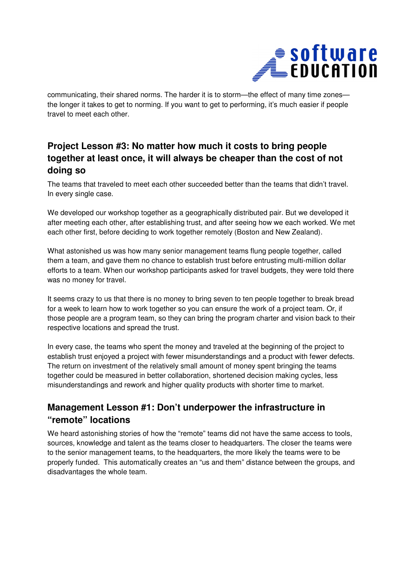

communicating, their shared norms. The harder it is to storm—the effect of many time zones the longer it takes to get to norming. If you want to get to performing, it's much easier if people travel to meet each other.

# **Project Lesson #3: No matter how much it costs to bring people together at least once, it will always be cheaper than the cost of not doing so**

The teams that traveled to meet each other succeeded better than the teams that didn't travel. In every single case.

We developed our workshop together as a geographically distributed pair. But we developed it after meeting each other, after establishing trust, and after seeing how we each worked. We met each other first, before deciding to work together remotely (Boston and New Zealand).

What astonished us was how many senior management teams flung people together, called them a team, and gave them no chance to establish trust before entrusting multi-million dollar efforts to a team. When our workshop participants asked for travel budgets, they were told there was no money for travel.

It seems crazy to us that there is no money to bring seven to ten people together to break bread for a week to learn how to work together so you can ensure the work of a project team. Or, if those people are a program team, so they can bring the program charter and vision back to their respective locations and spread the trust.

In every case, the teams who spent the money and traveled at the beginning of the project to establish trust enjoyed a project with fewer misunderstandings and a product with fewer defects. The return on investment of the relatively small amount of money spent bringing the teams together could be measured in better collaboration, shortened decision making cycles, less misunderstandings and rework and higher quality products with shorter time to market.

## **Management Lesson #1: Don't underpower the infrastructure in "remote" locations**

We heard astonishing stories of how the "remote" teams did not have the same access to tools, sources, knowledge and talent as the teams closer to headquarters. The closer the teams were to the senior management teams, to the headquarters, the more likely the teams were to be properly funded. This automatically creates an "us and them" distance between the groups, and disadvantages the whole team.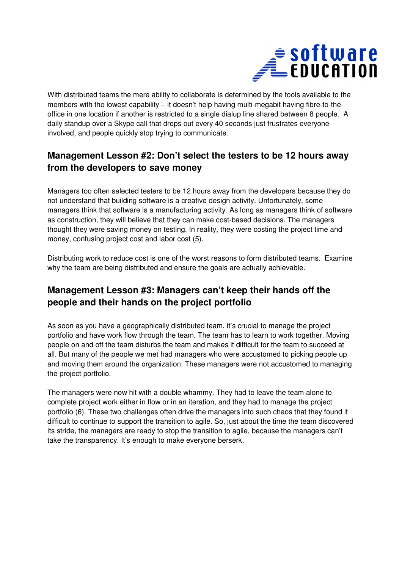

With distributed teams the mere ability to collaborate is determined by the tools available to the members with the lowest capability – it doesn't help having multi-megabit having fibre-to-theoffice in one location if another is restricted to a single dialup line shared between 8 people. A daily standup over a Skype call that drops out every 40 seconds just frustrates everyone involved, and people quickly stop trying to communicate.

# **Management Lesson #2: Don't select the testers to be 12 hours away from the developers to save money**

Managers too often selected testers to be 12 hours away from the developers because they do not understand that building software is a creative design activity. Unfortunately, some managers think that software is a manufacturing activity. As long as managers think of software as construction, they will believe that they can make cost-based decisions. The managers thought they were saving money on testing. In reality, they were costing the project time and money, confusing project cost and labor cost (5).

Distributing work to reduce cost is one of the worst reasons to form distributed teams. Examine why the team are being distributed and ensure the goals are actually achievable.

## **Management Lesson #3: Managers can't keep their hands off the people and their hands on the project portfolio**

As soon as you have a geographically distributed team, it's crucial to manage the project portfolio and have work flow through the team. The team has to learn to work together. Moving people on and off the team disturbs the team and makes it difficult for the team to succeed at all. But many of the people we met had managers who were accustomed to picking people up and moving them around the organization. These managers were not accustomed to managing the project portfolio.

The managers were now hit with a double whammy. They had to leave the team alone to complete project work either in flow or in an iteration, and they had to manage the project portfolio (6). These two challenges often drive the managers into such chaos that they found it difficult to continue to support the transition to agile. So, just about the time the team discovered its stride, the managers are ready to stop the transition to agile, because the managers can't take the transparency. It's enough to make everyone berserk.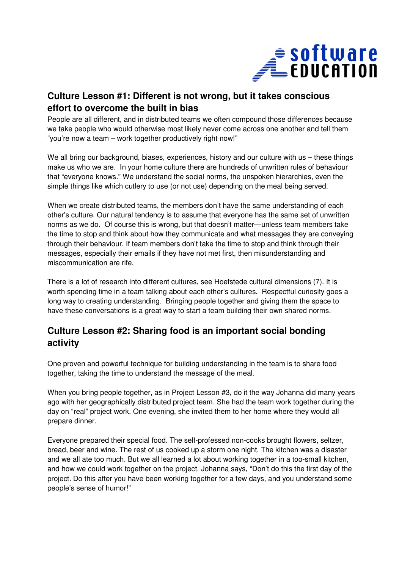

#### **Culture Lesson #1: Different is not wrong, but it takes conscious effort to overcome the built in bias**

People are all different, and in distributed teams we often compound those differences because we take people who would otherwise most likely never come across one another and tell them "you're now a team – work together productively right now!"

We all bring our background, biases, experiences, history and our culture with us – these things make us who we are. In your home culture there are hundreds of unwritten rules of behaviour that "everyone knows." We understand the social norms, the unspoken hierarchies, even the simple things like which cutlery to use (or not use) depending on the meal being served.

When we create distributed teams, the members don't have the same understanding of each other's culture. Our natural tendency is to assume that everyone has the same set of unwritten norms as we do. Of course this is wrong, but that doesn't matter—unless team members take the time to stop and think about how they communicate and what messages they are conveying through their behaviour. If team members don't take the time to stop and think through their messages, especially their emails if they have not met first, then misunderstanding and miscommunication are rife.

There is a lot of research into different cultures, see Hoefstede cultural dimensions (7). It is worth spending time in a team talking about each other's cultures. Respectful curiosity goes a long way to creating understanding. Bringing people together and giving them the space to have these conversations is a great way to start a team building their own shared norms.

## **Culture Lesson #2: Sharing food is an important social bonding activity**

One proven and powerful technique for building understanding in the team is to share food together, taking the time to understand the message of the meal.

When you bring people together, as in Project Lesson #3, do it the way Johanna did many years ago with her geographically distributed project team. She had the team work together during the day on "real" project work. One evening, she invited them to her home where they would all prepare dinner.

Everyone prepared their special food. The self-professed non-cooks brought flowers, seltzer, bread, beer and wine. The rest of us cooked up a storm one night. The kitchen was a disaster and we all ate too much. But we all learned a lot about working together in a too-small kitchen, and how we could work together on the project. Johanna says, "Don't do this the first day of the project. Do this after you have been working together for a few days, and you understand some people's sense of humor!"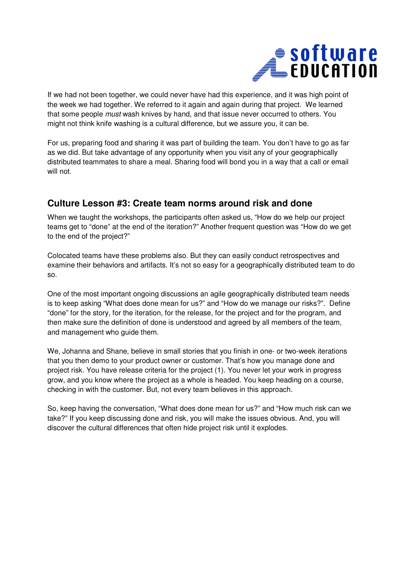

If we had not been together, we could never have had this experience, and it was high point of the week we had together. We referred to it again and again during that project. We learned that some people must wash knives by hand, and that issue never occurred to others. You might not think knife washing is a cultural difference, but we assure you, it can be.

For us, preparing food and sharing it was part of building the team. You don't have to go as far as we did. But take advantage of any opportunity when you visit any of your geographically distributed teammates to share a meal. Sharing food will bond you in a way that a call or email will not.

#### **Culture Lesson #3: Create team norms around risk and done**

When we taught the workshops, the participants often asked us, "How do we help our project teams get to "done" at the end of the iteration?" Another frequent question was "How do we get to the end of the project?"

Colocated teams have these problems also. But they can easily conduct retrospectives and examine their behaviors and artifacts. It's not so easy for a geographically distributed team to do so.

One of the most important ongoing discussions an agile geographically distributed team needs is to keep asking "What does done mean for us?" and "How do we manage our risks?". Define "done" for the story, for the iteration, for the release, for the project and for the program, and then make sure the definition of done is understood and agreed by all members of the team, and management who guide them.

We, Johanna and Shane, believe in small stories that you finish in one- or two-week iterations that you then demo to your product owner or customer. That's how you manage done and project risk. You have release criteria for the project (1). You never let your work in progress grow, and you know where the project as a whole is headed. You keep heading on a course, checking in with the customer. But, not every team believes in this approach.

So, keep having the conversation, "What does done mean for us?" and "How much risk can we take?" If you keep discussing done and risk, you will make the issues obvious. And, you will discover the cultural differences that often hide project risk until it explodes.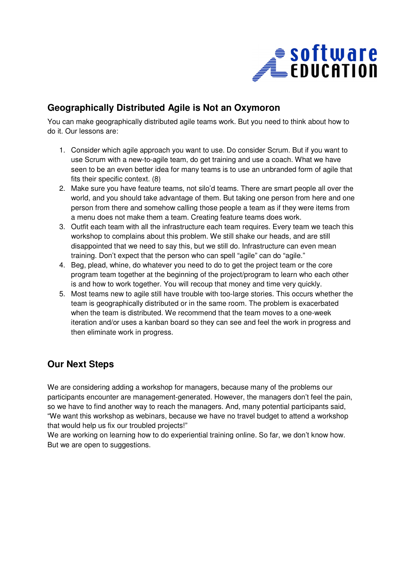

## **Geographically Distributed Agile is Not an Oxymoron**

You can make geographically distributed agile teams work. But you need to think about how to do it. Our lessons are:

- 1. Consider which agile approach you want to use. Do consider Scrum. But if you want to use Scrum with a new-to-agile team, do get training and use a coach. What we have seen to be an even better idea for many teams is to use an unbranded form of agile that fits their specific context. (8)
- 2. Make sure you have feature teams, not silo'd teams. There are smart people all over the world, and you should take advantage of them. But taking one person from here and one person from there and somehow calling those people a team as if they were items from a menu does not make them a team. Creating feature teams does work.
- 3. Outfit each team with all the infrastructure each team requires. Every team we teach this workshop to complains about this problem. We still shake our heads, and are still disappointed that we need to say this, but we still do. Infrastructure can even mean training. Don't expect that the person who can spell "agile" can do "agile."
- 4. Beg, plead, whine, do whatever you need to do to get the project team or the core program team together at the beginning of the project/program to learn who each other is and how to work together. You will recoup that money and time very quickly.
- 5. Most teams new to agile still have trouble with too-large stories. This occurs whether the team is geographically distributed or in the same room. The problem is exacerbated when the team is distributed. We recommend that the team moves to a one-week iteration and/or uses a kanban board so they can see and feel the work in progress and then eliminate work in progress.

# **Our Next Steps**

We are considering adding a workshop for managers, because many of the problems our participants encounter are management-generated. However, the managers don't feel the pain, so we have to find another way to reach the managers. And, many potential participants said, "We want this workshop as webinars, because we have no travel budget to attend a workshop that would help us fix our troubled projects!"

We are working on learning how to do experiential training online. So far, we don't know how. But we are open to suggestions.